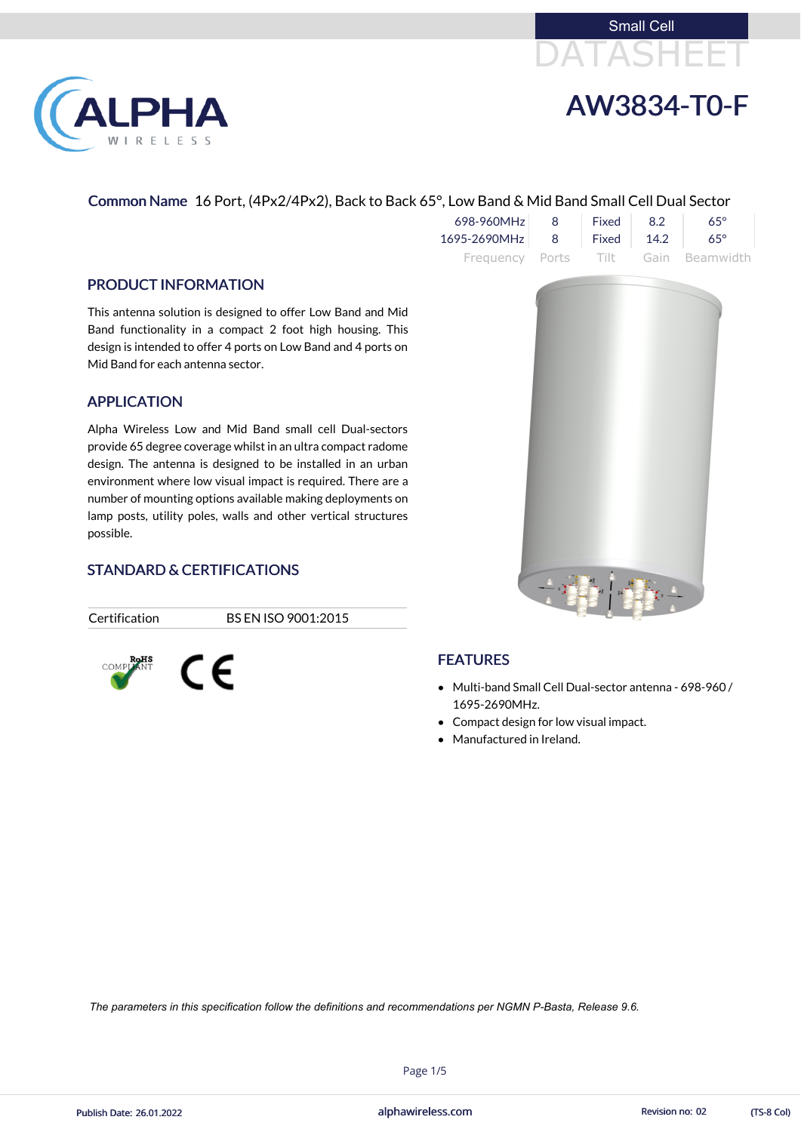



## Common Name 16 Port, (4Px2/4Px2), Back to Back 65°, Low Band & Mid Band Small Cell Dual Sector

| 698-960MHz                | 8 | $\sqrt{5}$ Fixed $\sqrt{2}$ 8.2 | $65^\circ$                          |
|---------------------------|---|---------------------------------|-------------------------------------|
| 1695-2690MHz 8 Fixed 14.2 |   |                                 | $65^\circ$                          |
|                           |   |                                 | Frequency Ports Tilt Gain Beamwidth |

### PRODUCT INFORMATION

**PHA** 

RELESS

This antenna solution is designed to offer Low Band and Mid Band functionality in a compact 2 foot high housing. This design is intended to offer 4 ports on Low Band and 4 ports on Mid Band for each antenna sector.

- Multi-band Small Cell Dual-sector antenna 698-960 / 1695-2690MHz.
- Compact design for low visual impact.
- Manufactured in Ireland.

## APPLICATION

alphawireless.com Publish Date: 26.01.2022 **Revision no: 02** alphawireless.com **Revision no: 02** (TS-8 Col)

Alpha Wireless Low and Mid Band small cell Dual-sectors provide 65 degree coverage whilst in an ultra compact radome design. The antenna is designed to be installed in an urban environment where low visual impact is required. There are a number of mounting options available making deployments on lamp posts, utility poles, walls and other vertical structures possible.

## STANDARD & CERTIFICATIONS

Certification BS EN ISO 9001:2015





## FEATURES

Page 1/5

*The parameters in this specification follow the definitions and recommendations per NGMN P-Basta, Release 9.6.*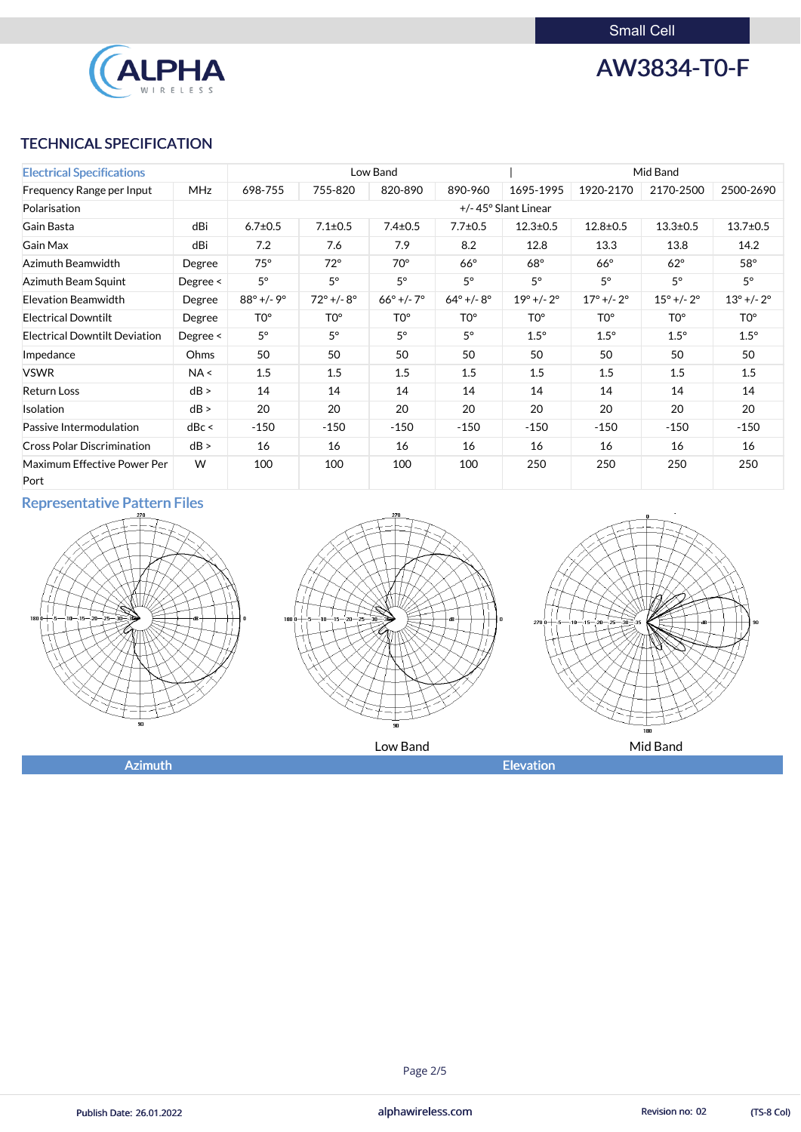Small Cell



AW3834-T0-F

## TECHNICAL SPECIFICATION

| <b>Electrical Specifications</b>     |               | Low Band                     |                     |                              | Mid Band           |                              |                              |                              |                              |
|--------------------------------------|---------------|------------------------------|---------------------|------------------------------|--------------------|------------------------------|------------------------------|------------------------------|------------------------------|
| Frequency Range per Input            | <b>MHz</b>    | 698-755                      | 755-820             | 820-890                      | 890-960            | 1695-1995                    | 1920-2170                    | 2170-2500                    | 2500-2690                    |
| Polarisation                         |               |                              | +/-45° Slant Linear |                              |                    |                              |                              |                              |                              |
| Gain Basta                           | dBi           | $6.7 \pm 0.5$                | $7.1 \pm 0.5$       | $7.4 \pm 0.5$                | $7.7 \pm 0.5$      | $12.3 \pm 0.5$               | $12.8 \pm 0.5$               | $13.3 \pm 0.5$               | $13.7 \pm 0.5$               |
| <b>Gain Max</b>                      | dBi           | 7.2                          | 7.6                 | 7.9                          | 8.2                | 12.8                         | 13.3                         | 13.8                         | 14.2                         |
| Azimuth Beamwidth                    | Degree        | $75^\circ$                   | $72^\circ$          | $70^\circ$                   | $66^\circ$         | $68^\circ$                   | $66^\circ$                   | $62^\circ$                   | $58^\circ$                   |
| Azimuth Beam Squint                  | Degree $\leq$ | $5^{\circ}$                  | $5^{\circ}$         | $5^{\circ}$                  | $5^\circ$          | $5^\circ$                    | $5^\circ$                    | $5^{\circ}$                  | $5^{\circ}$                  |
| <b>Elevation Beamwidth</b>           | Degree        | $88^{\circ}$ +/- $9^{\circ}$ | $72^{\circ}$ +/-8°  | $66^{\circ}$ +/- $7^{\circ}$ | $64^{\circ}$ +/-8° | $19^{\circ}$ +/- $2^{\circ}$ | $17^{\circ}$ +/- $2^{\circ}$ | $15^{\circ}$ +/- $2^{\circ}$ | $13^{\circ}$ +/- $2^{\circ}$ |
| <b>Electrical Downtilt</b>           | Degree        | T <sub>0</sub> °             | TO <sup>o</sup>     | TO <sup>o</sup>              | TO <sup>o</sup>    | TO <sup>o</sup>              | TO <sup>o</sup>              | TO <sup>o</sup>              | TO <sup>o</sup>              |
| <b>Electrical Downtilt Deviation</b> | Degree $\leq$ | $5^\circ$                    | $5^{\circ}$         | $5^\circ$                    | $5^{\circ}$        | $1.5^\circ$                  | $1.5^\circ$                  | $1.5^\circ$                  | $1.5^\circ$                  |
| Impedance                            | Ohms          | 50                           | 50                  | 50                           | 50                 | 50                           | 50                           | 50                           | 50                           |
| <b>VSWR</b>                          | NA <          | 1.5                          | 1.5                 | 1.5                          | 1.5                | 1.5                          | 1.5                          | 1.5                          | 1.5                          |
| <b>Return Loss</b>                   | dB >          | 14                           | 14                  | 14                           | 14                 | 14                           | 14                           | 14                           | 14                           |
| Isolation                            | dB >          | 20                           | 20                  | 20                           | 20                 | 20                           | 20                           | 20                           | 20                           |
| Passive Intermodulation              | dBc <         | $-150$                       | $-150$              | $-150$                       | $-150$             | $-150$                       | $-150$                       | $-150$                       | $-150$                       |
| <b>Cross Polar Discrimination</b>    | dB >          | 16                           | 16                  | 16                           | 16                 | 16                           | 16                           | 16                           | 16                           |
| Maximum Effective Power Per<br>Port  | W             | 100                          | 100                 | 100                          | 100                | 250                          | 250                          | 250                          | 250                          |

# Representative Pattern Files







alphawireless.com

## Page 2/5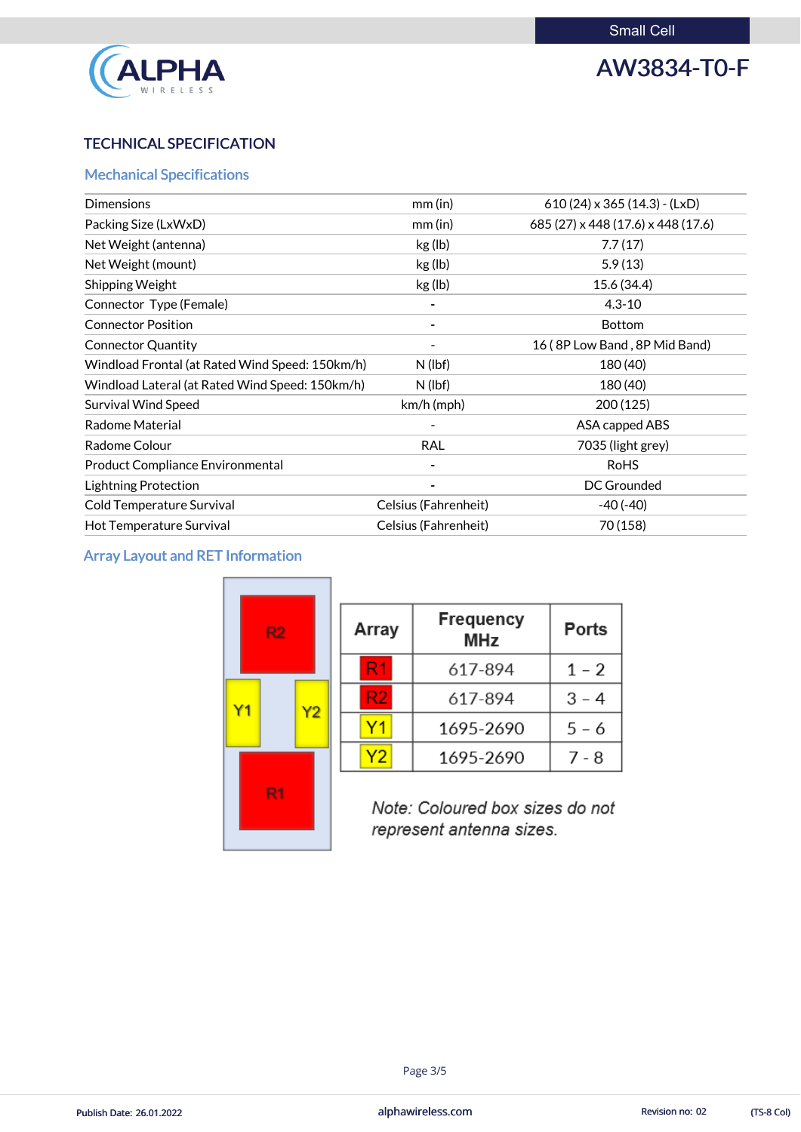

# AW3834-T0-F

# TECHNICAL SPECIFICATION

# Mechanical Specifications

| <b>Dimensions</b>                               | $mm$ (in)                | $610(24) \times 365(14.3)$ - (LxD) |
|-------------------------------------------------|--------------------------|------------------------------------|
| Packing Size (LxWxD)                            | $mm$ (in)                | 685 (27) x 448 (17.6) x 448 (17.6) |
| Net Weight (antenna)                            | kg (lb)                  | 7.7(17)                            |
| Net Weight (mount)                              | kg (lb)                  | 5.9(13)                            |
| Shipping Weight                                 | kg (lb)                  | 15.6 (34.4)                        |
| Connector Type (Female)                         | -                        | $4.3 - 10$                         |
| <b>Connector Position</b>                       | $\overline{\phantom{a}}$ | <b>Bottom</b>                      |
| <b>Connector Quantity</b>                       |                          | 16 (8P Low Band, 8P Mid Band)      |
| Windload Frontal (at Rated Wind Speed: 150km/h) | $N$ (lbf)                | 180 (40)                           |
| Windload Lateral (at Rated Wind Speed: 150km/h) | $N$ (lbf)                | 180 (40)                           |
| <b>Survival Wind Speed</b>                      | $km/h$ (mph)             | 200 (125)                          |
| <b>Radome Material</b>                          |                          | ASA capped ABS                     |
| Radome Colour                                   | <b>RAL</b>               | 7035 (light grey)                  |
| <b>Product Compliance Environmental</b>         |                          | <b>RoHS</b>                        |
| <b>Lightning Protection</b>                     |                          | DC Grounded                        |
| Cold Temperature Survival                       | Celsius (Fahrenheit)     | $-40(-40)$                         |
| Hot Temperature Survival                        | Celsius (Fahrenheit)     | 70 (158)                           |

# Array Layout and RET Information

| R2                   | Array                                                       | <b>Frequency</b><br><b>MHz</b> |         |  |
|----------------------|-------------------------------------------------------------|--------------------------------|---------|--|
|                      | R1                                                          | 617-894                        | $1 - 2$ |  |
| Υ1<br>Y <sub>2</sub> | R2                                                          | 617-894                        | $3 - 4$ |  |
|                      |                                                             | 1695-2690                      | $5 - 6$ |  |
|                      | Y2                                                          | 1695-2690                      | $7 - 8$ |  |
| R <sub>1</sub>       | Note: Coloured box sizes do not<br>represent antenna sizes. |                                |         |  |

alphawireless.com

### Page 3/5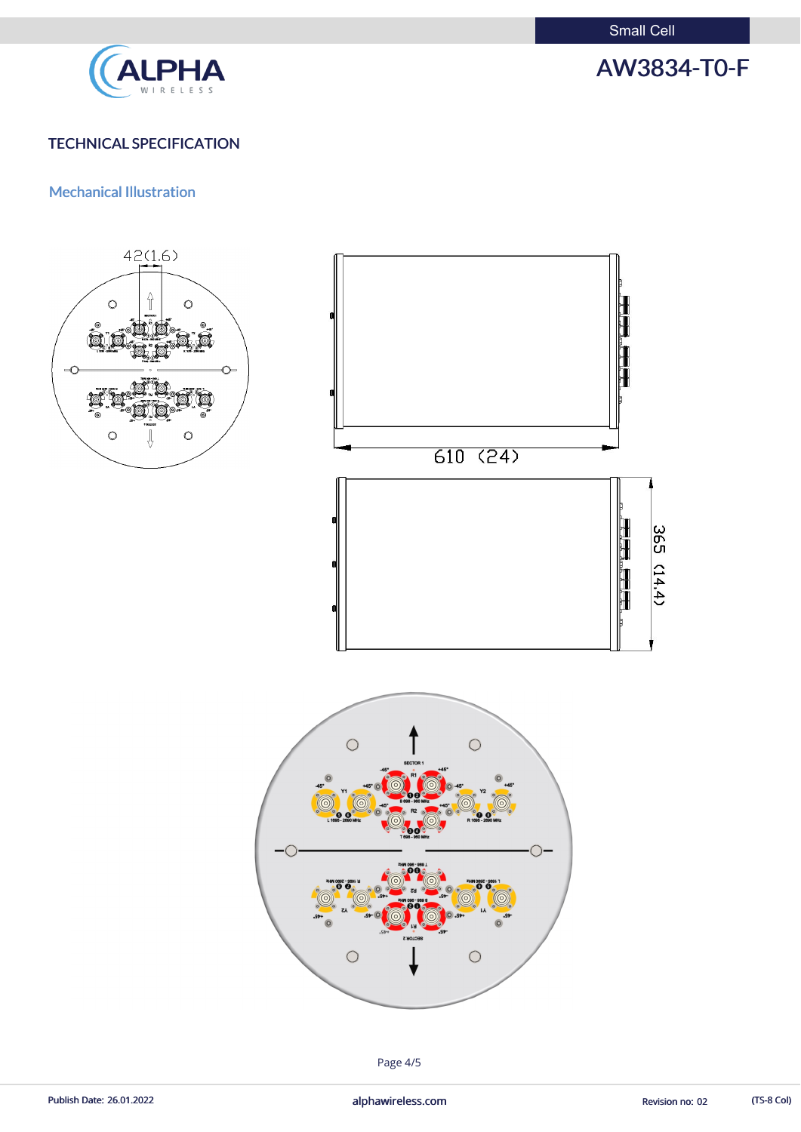Small Cell



# AW3834-T0-F

# TECHNICAL SPECIFICATION

## Mechanical Illustration